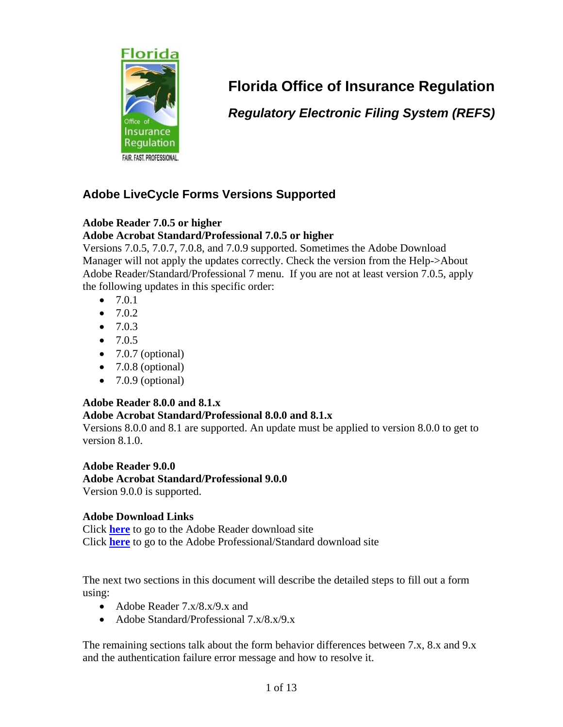

# **Florida Office of Insurance Regulation**

*Regulatory Electronic Filing System (REFS)* 

## **Adobe LiveCycle Forms Versions Supported**

### **Adobe Reader 7.0.5 or higher**

### **Adobe Acrobat Standard/Professional 7.0.5 or higher**

Versions 7.0.5, 7.0.7, 7.0.8, and 7.0.9 supported. Sometimes the Adobe Download Manager will not apply the updates correctly. Check the version from the Help->About Adobe Reader/Standard/Professional 7 menu. If you are not at least version 7.0.5, apply the following updates in this specific order:

- 7.0.1
- $7.0.2$
- $7.0.3$
- $7.0.5$
- $\bullet$  7.0.7 (optional)
- $\bullet$  7.0.8 (optional)
- $\bullet$  7.0.9 (optional)

### **Adobe Reader 8.0.0 and 8.1.x**

### **Adobe Acrobat Standard/Professional 8.0.0 and 8.1.x**

Versions 8.0.0 and 8.1 are supported. An update must be applied to version 8.0.0 to get to version 8.1.0.

**Adobe Reader 9.0.0** 

**Adobe Acrobat Standard/Professional 9.0.0** Version 9.0.0 is supported.

### **Adobe Download Links**

Click **[here](http://www.adobe.com/support/downloads/product.jsp?product=10&platform=Windows)** to go to the Adobe Reader download site Click **[here](http://www.adobe.com/support/downloads/product.jsp?product=1&platform=Windows)** to go to the Adobe Professional/Standard download site

The next two sections in this document will describe the detailed steps to fill out a form using:

- Adobe Reader 7.x/8.x/9.x and
- Adobe Standard/Professional 7.x/8.x/9.x

The remaining sections talk about the form behavior differences between 7.x, 8.x and 9.x and the authentication failure error message and how to resolve it.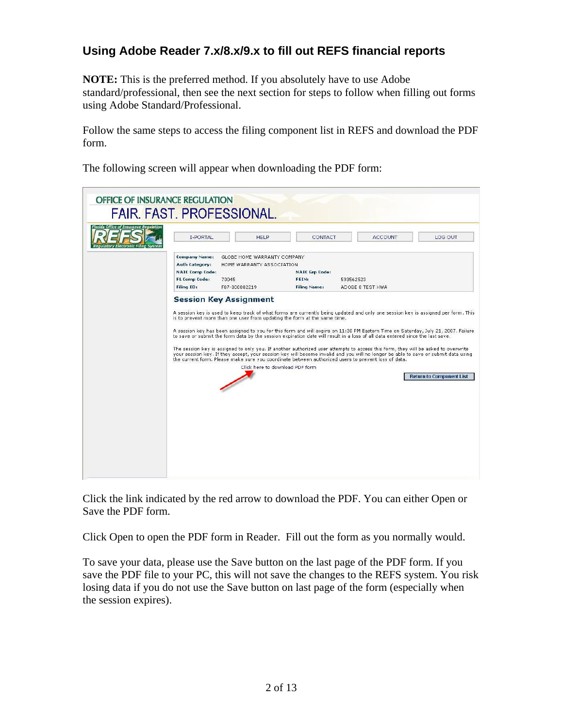### **Using Adobe Reader 7.x/8.x/9.x to fill out REFS financial reports**

**NOTE:** This is the preferred method. If you absolutely have to use Adobe standard/professional, then see the next section for steps to follow when filling out forms using Adobe Standard/Professional.

Follow the same steps to access the filing component list in REFS and download the PDF form.

The following screen will appear when downloading the PDF form:



Click the link indicated by the red arrow to download the PDF. You can either Open or Save the PDF form.

Click Open to open the PDF form in Reader. Fill out the form as you normally would.

To save your data, please use the Save button on the last page of the PDF form. If you save the PDF file to your PC, this will not save the changes to the REFS system. You risk losing data if you do not use the Save button on last page of the form (especially when the session expires).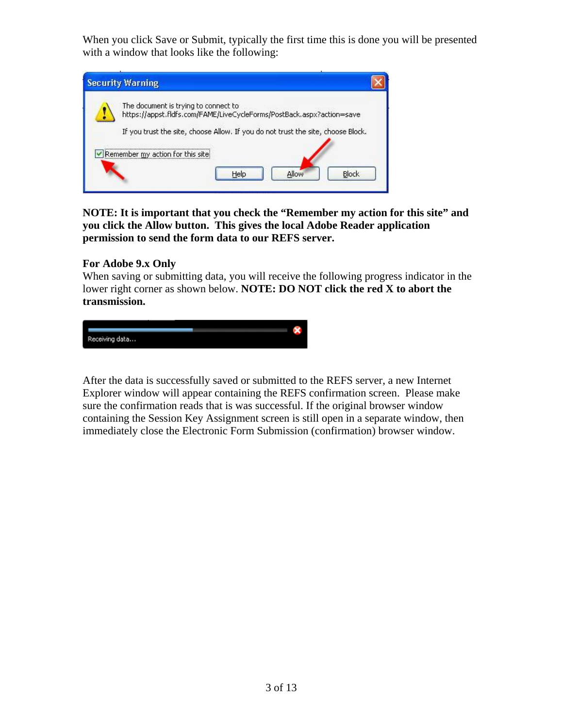When you click Save or Submit, typically the first time this is done you will be presented with a window that looks like the following:



**NOTE: It is important that you check the "Remember my action for this site" and you click the Allow button. This gives the local Adobe Reader application permission to send the form data to our REFS server.**

#### **For Adobe 9.x Only**

When saving or submitting data, you will receive the following progress indicator in the lower right corner as shown below. **NOTE: DO NOT click the red X to abort the transmission.**



After the data is successfully saved or submitted to the REFS server, a new Internet Explorer window will appear containing the REFS confirmation screen. Please make sure the confirmation reads that is was successful. If the original browser window containing the Session Key Assignment screen is still open in a separate window, then immediately close the Electronic Form Submission (confirmation) browser window.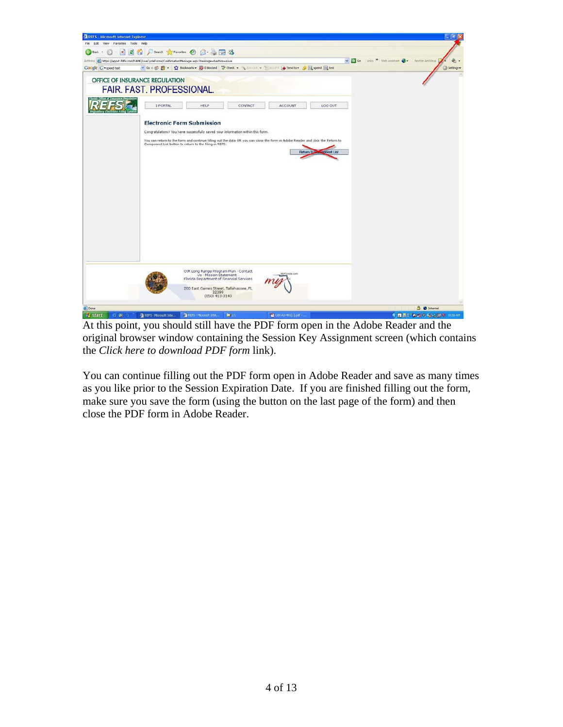

At this point, you should still have the PDF form open in the Adobe Reader and the original browser window containing the Session Key Assignment screen (which contains the *Click here to download PDF form* link).

You can continue filling out the PDF form open in Adobe Reader and save as many times as you like prior to the Session Expiration Date. If you are finished filling out the form, make sure you save the form (using the button on the last page of the form) and then close the PDF form in Adobe Reader.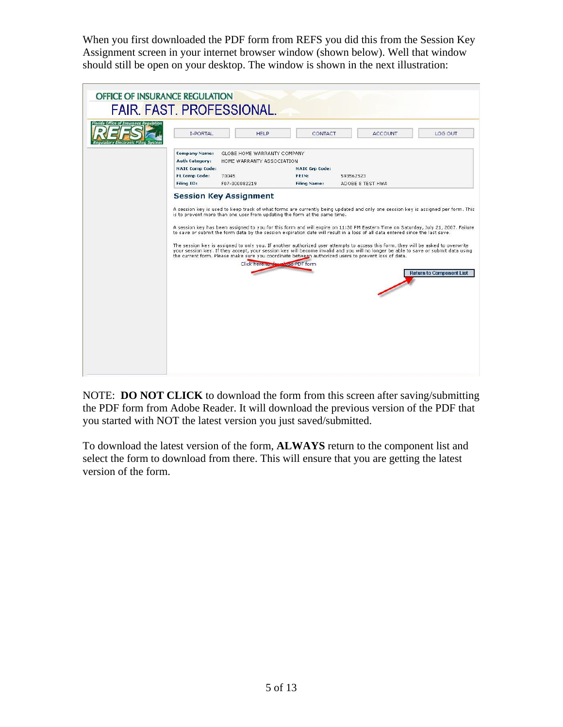When you first downloaded the PDF form from REFS you did this from the Session Key Assignment screen in your internet browser window (shown below). Well that window should still be open on your desktop. The window is shown in the next illustration:

| OFFICE OF INSURANCE REGULATION<br><b>FAIR, FAST, PROFESSIONAL.</b><br>Florida Office of Insurance Regulation |                                                                                                                      |                                                                                                              |                                                       |                                                                                                                                                                                                                                                                                                                                                                                                                                                                                                                                                                                                                                                                                                                                                                                           |                                 |
|--------------------------------------------------------------------------------------------------------------|----------------------------------------------------------------------------------------------------------------------|--------------------------------------------------------------------------------------------------------------|-------------------------------------------------------|-------------------------------------------------------------------------------------------------------------------------------------------------------------------------------------------------------------------------------------------------------------------------------------------------------------------------------------------------------------------------------------------------------------------------------------------------------------------------------------------------------------------------------------------------------------------------------------------------------------------------------------------------------------------------------------------------------------------------------------------------------------------------------------------|---------------------------------|
|                                                                                                              | <b>I-PORTAL</b>                                                                                                      | <b>HFLP</b>                                                                                                  | CONTACT                                               | <b>ACCOUNT</b>                                                                                                                                                                                                                                                                                                                                                                                                                                                                                                                                                                                                                                                                                                                                                                            | LOG OUT                         |
|                                                                                                              | <b>Company Name:</b><br><b>Auth Category:</b><br><b>NAIC Comp Code:</b><br><b>FL Comp Code:</b><br><b>Filing ID:</b> | GLOBE HOME WARRANTY COMPANY<br>HOME WARRANTY ASSOCIATION<br>70045<br>F07-000082219                           | <b>NAIC Grp Code:</b><br>FEIN:<br><b>Filing Name:</b> | 593562523<br>ADOBE 8 TEST HWA                                                                                                                                                                                                                                                                                                                                                                                                                                                                                                                                                                                                                                                                                                                                                             |                                 |
|                                                                                                              | <b>Session Key Assignment</b>                                                                                        | is to prevent more than one user from updating the form at the same time.<br>Click here to down bad PDF form |                                                       | A session key is used to keep track of what forms are currently being updated and only one session key is assigned per form. This<br>A session key has been assigned to you for this form and will expire on 11:30 PM Eastern Time on Saturday, July 21, 2007. Failure<br>to save or submit the form data by the session expiration date will result in a loss of all data entered since the last save.<br>The session key is assigned to only you. If another authorized user attempts to access this form, they will be asked to overwrite<br>your session key. If they accept, your session key will become invalid and you will no longer be able to save or submit data using<br>the current form. Please make sure you coordinate between authorized users to prevent loss of data. | <b>Return to Component List</b> |

NOTE: **DO NOT CLICK** to download the form from this screen after saving/submitting the PDF form from Adobe Reader. It will download the previous version of the PDF that you started with NOT the latest version you just saved/submitted.

To download the latest version of the form, **ALWAYS** return to the component list and select the form to download from there. This will ensure that you are getting the latest version of the form.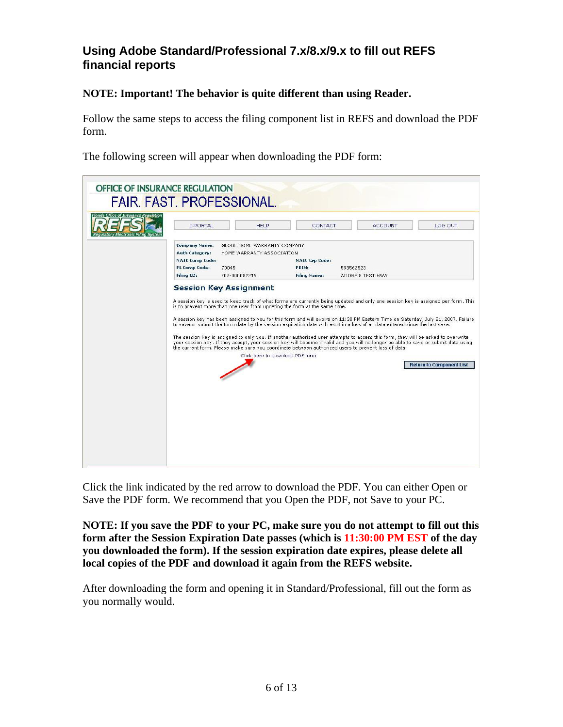### **Using Adobe Standard/Professional 7.x/8.x/9.x to fill out REFS financial reports**

### **NOTE: Important! The behavior is quite different than using Reader.**

Follow the same steps to access the filing component list in REFS and download the PDF form.

The following screen will appear when downloading the PDF form:



Click the link indicated by the red arrow to download the PDF. You can either Open or Save the PDF form. We recommend that you Open the PDF, not Save to your PC.

**NOTE: If you save the PDF to your PC, make sure you do not attempt to fill out this form after the Session Expiration Date passes (which is 11:30:00 PM EST of the day you downloaded the form). If the session expiration date expires, please delete all local copies of the PDF and download it again from the REFS website.** 

After downloading the form and opening it in Standard/Professional, fill out the form as you normally would.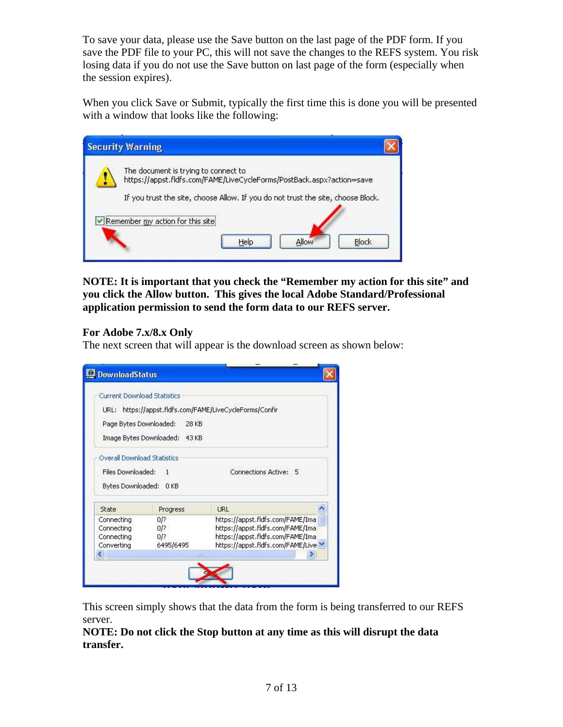To save your data, please use the Save button on the last page of the PDF form. If you save the PDF file to your PC, this will not save the changes to the REFS system. You risk losing data if you do not use the Save button on last page of the form (especially when the session expires).

When you click Save or Submit, typically the first time this is done you will be presented with a window that looks like the following:

| <b>Security Warning</b>                                                                                                                                                                           |  |
|---------------------------------------------------------------------------------------------------------------------------------------------------------------------------------------------------|--|
| The document is trying to connect to<br>https://appst.fldfs.com/FAME/LiveCycleForms/PostBack.aspx?action=save<br>If you trust the site, choose Allow. If you do not trust the site, choose Block. |  |
| Remember my action for this site<br>Block<br>Help<br>Allow                                                                                                                                        |  |

**NOTE: It is important that you check the "Remember my action for this site" and you click the Allow button. This gives the local Adobe Standard/Professional application permission to send the form data to our REFS server.** 

#### **For Adobe 7.x/8.x Only**

The next screen that will appear is the download screen as shown below:

|                                    | <b>Current Download Statistics</b> |                                                    |  |
|------------------------------------|------------------------------------|----------------------------------------------------|--|
|                                    |                                    |                                                    |  |
| URL:                               |                                    | https://appst.fldfs.com/FAME/LiveCycleForms/Confir |  |
| Page Bytes Downloaded:             | 28 KB                              |                                                    |  |
| Image Bytes Downloaded:            | 43 KB                              |                                                    |  |
| <b>Overall Download Statistics</b> |                                    |                                                    |  |
| Files Downloaded:                  | 1                                  | Connections Active: 5                              |  |
|                                    |                                    |                                                    |  |
|                                    |                                    |                                                    |  |
| Bytes Downloaded:                  | 0 <sub>KB</sub>                    |                                                    |  |
| State                              | Progress                           | <b>LIRL</b>                                        |  |
| Connecting                         | 0/?                                | https://appst.fldfs.com/FAME/Ima                   |  |
| Connecting                         | 0/?                                | https://appst.fldfs.com/FAME/Ima                   |  |
| Connecting                         | 0/?                                | https://appst.fldfs.com/FAME/Ima                   |  |
| Converting                         | 6495/6495                          | https://appst.fldfs.com/FAME/Live \                |  |

This screen simply shows that the data from the form is being transferred to our REFS server.

**NOTE: Do not click the Stop button at any time as this will disrupt the data transfer.**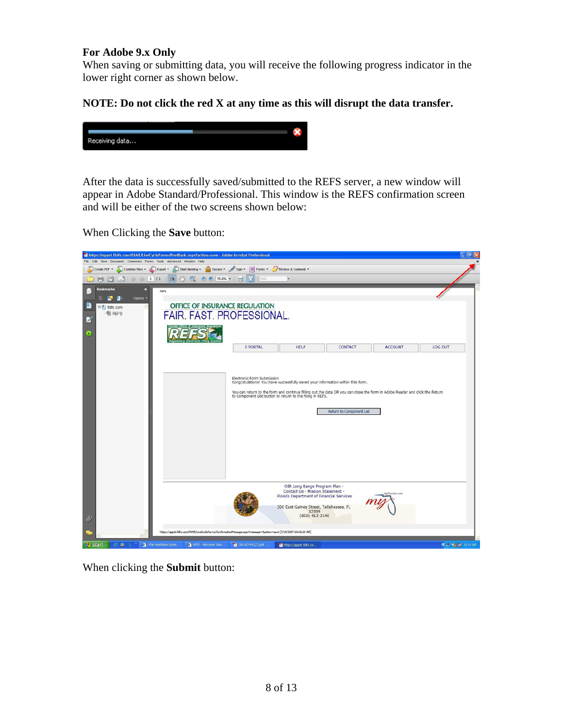#### **For Adobe 9.x Only**

When saving or submitting data, you will receive the following progress indicator in the lower right corner as shown below.

#### **NOTE: Do not click the red X at any time as this will disrupt the data transfer.**



After the data is successfully saved/submitted to the REFS server, a new window will appear in Adobe Standard/Professional. This window is the REFS confirmation screen and will be either of the two screens shown below:

When Clicking the **Save** button:



When clicking the **Submit** button: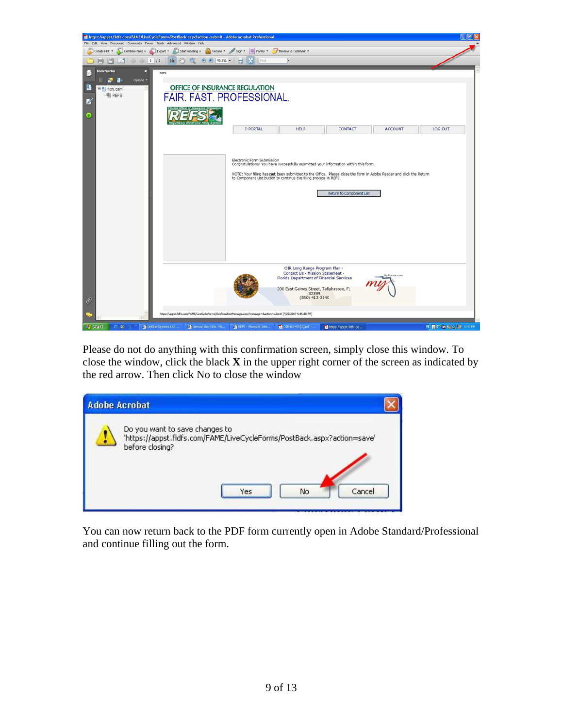

Please do not do anything with this confirmation screen, simply close this window. To close the window, click the black **X** in the upper right corner of the screen as indicated by the red arrow. Then click No to close the window

| <b>Adobe Acrobat</b>                                                                                                         |  |
|------------------------------------------------------------------------------------------------------------------------------|--|
| Do you want to save changes to<br>'https://appst.fldfs.com/FAME/LiveCycleForms/PostBack.aspx?action=save'<br>before closing? |  |
| Cancel<br>No<br>Yes                                                                                                          |  |

You can now return back to the PDF form currently open in Adobe Standard/Professional and continue filling out the form.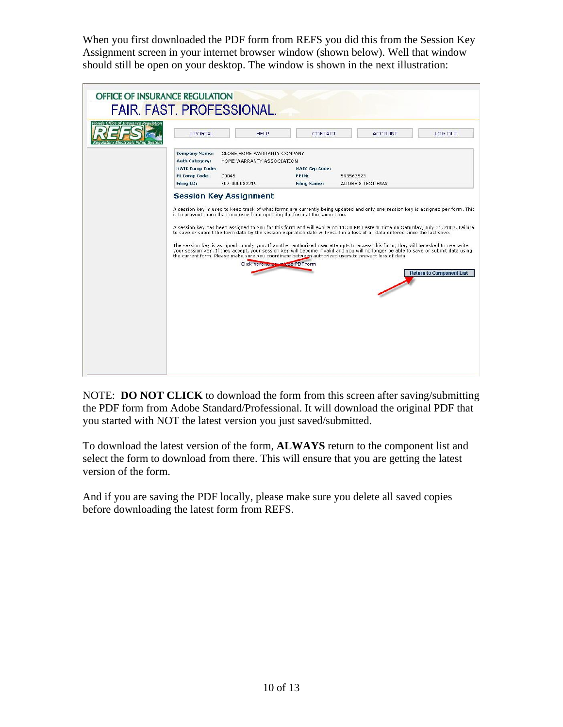When you first downloaded the PDF form from REFS you did this from the Session Key Assignment screen in your internet browser window (shown below). Well that window should still be open on your desktop. The window is shown in the next illustration:

| OFFICE OF INSURANCE REGULATION<br><b>FAIR, FAST, PROFESSIONAL.</b><br>Florida Office of Insurance Regulation |                                                                                                                      |                                                                                                                                               |                                                       |                                                                                                                                                                                                                                                                                                                                                                                                                                                                                                                                                                                                                                                                                                                                                                                           |                                 |
|--------------------------------------------------------------------------------------------------------------|----------------------------------------------------------------------------------------------------------------------|-----------------------------------------------------------------------------------------------------------------------------------------------|-------------------------------------------------------|-------------------------------------------------------------------------------------------------------------------------------------------------------------------------------------------------------------------------------------------------------------------------------------------------------------------------------------------------------------------------------------------------------------------------------------------------------------------------------------------------------------------------------------------------------------------------------------------------------------------------------------------------------------------------------------------------------------------------------------------------------------------------------------------|---------------------------------|
|                                                                                                              | <b>I-PORTAL</b>                                                                                                      | <b>HELP</b>                                                                                                                                   | CONTACT                                               | <b>ACCOUNT</b>                                                                                                                                                                                                                                                                                                                                                                                                                                                                                                                                                                                                                                                                                                                                                                            | LOG OUT                         |
|                                                                                                              | <b>Company Name:</b><br><b>Auth Category:</b><br><b>NAIC Comp Code:</b><br><b>FL Comp Code:</b><br><b>Filing ID:</b> | GLOBE HOME WARRANTY COMPANY<br>HOME WARRANTY ASSOCIATION<br>70045<br>F07-000082219                                                            | <b>NAIC Grp Code:</b><br>FEIN:<br><b>Filing Name:</b> | 593562523<br>ADOBE 8 TEST HWA                                                                                                                                                                                                                                                                                                                                                                                                                                                                                                                                                                                                                                                                                                                                                             |                                 |
|                                                                                                              |                                                                                                                      | <b>Session Key Assignment</b><br>is to prevent more than one user from updating the form at the same time.<br>Click here to down bad PDF form |                                                       | A session key is used to keep track of what forms are currently being updated and only one session key is assigned per form. This<br>A session key has been assigned to you for this form and will expire on 11:30 PM Eastern Time on Saturday, July 21, 2007. Failure<br>to save or submit the form data by the session expiration date will result in a loss of all data entered since the last save.<br>The session key is assigned to only you. If another authorized user attempts to access this form, they will be asked to overwrite<br>your session key. If they accept, your session key will become invalid and you will no longer be able to save or submit data using<br>the current form. Please make sure you coordinate between authorized users to prevent loss of data. | <b>Return to Component List</b> |

NOTE: **DO NOT CLICK** to download the form from this screen after saving/submitting the PDF form from Adobe Standard/Professional. It will download the original PDF that you started with NOT the latest version you just saved/submitted.

To download the latest version of the form, **ALWAYS** return to the component list and select the form to download from there. This will ensure that you are getting the latest version of the form.

And if you are saving the PDF locally, please make sure you delete all saved copies before downloading the latest form from REFS.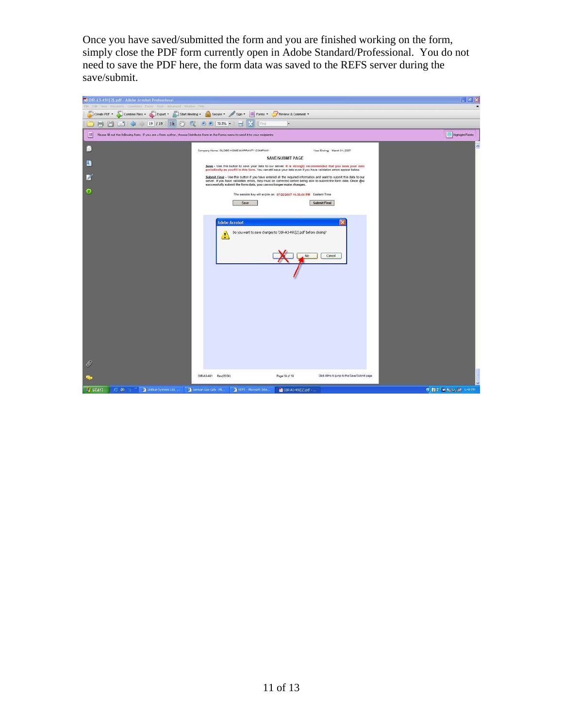Once you have saved/submitted the form and you are finished working on the form, simply close the PDF form currently open in Adobe Standard/Professional. You do not need to save the PDF here, the form data was saved to the REFS server during the save/submit.

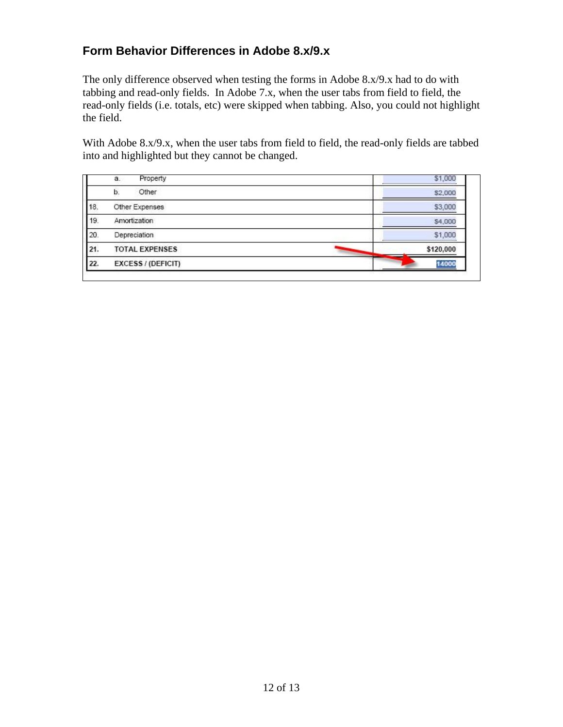### **Form Behavior Differences in Adobe 8.x/9.x**

The only difference observed when testing the forms in Adobe 8.x/9.x had to do with tabbing and read-only fields. In Adobe 7.x, when the user tabs from field to field, the read-only fields (i.e. totals, etc) were skipped when tabbing. Also, you could not highlight the field.

With Adobe 8.x/9.x, when the user tabs from field to field, the read-only fields are tabbed into and highlighted but they cannot be changed.

|     | Property<br>a.        | \$1,000   |
|-----|-----------------------|-----------|
|     | Other<br>b.           | \$2,000   |
| 18. | Other Expenses        | \$3,000   |
| 19. | Amortization          | \$4,000   |
| 20. | Depreciation          | \$1,000   |
| 21. | <b>TOTAL EXPENSES</b> | \$120,000 |
| 22. | EXCESS / (DEFICIT)    | 14000     |